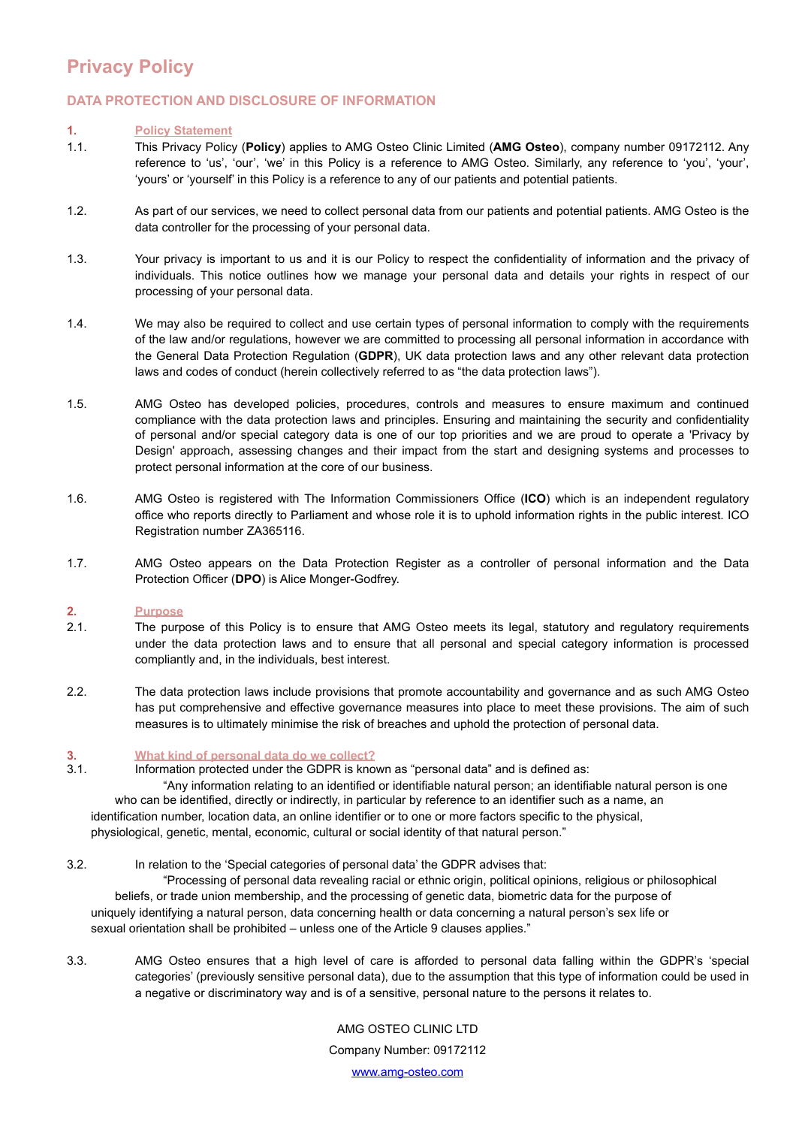## **Privacy Policy**

## **DATA PROTECTION AND DISCLOSURE OF INFORMATION**

#### **1. Policy Statement**

- 1.1. This Privacy Policy (**Policy**) applies to AMG Osteo Clinic Limited (**AMG Osteo**), company number 09172112. Any reference to 'us', 'our', 'we' in this Policy is a reference to AMG Osteo. Similarly, any reference to 'you', 'your', 'yours' or 'yourself' in this Policy is a reference to any of our patients and potential patients.
- 1.2. As part of our services, we need to collect personal data from our patients and potential patients. AMG Osteo is the data controller for the processing of your personal data.
- 1.3. Your privacy is important to us and it is our Policy to respect the confidentiality of information and the privacy of individuals. This notice outlines how we manage your personal data and details your rights in respect of our processing of your personal data.
- 1.4. We may also be required to collect and use certain types of personal information to comply with the requirements of the law and/or regulations, however we are committed to processing all personal information in accordance with the General Data Protection Regulation (**GDPR**), UK data protection laws and any other relevant data protection laws and codes of conduct (herein collectively referred to as "the data protection laws").
- 1.5. AMG Osteo has developed policies, procedures, controls and measures to ensure maximum and continued compliance with the data protection laws and principles. Ensuring and maintaining the security and confidentiality of personal and/or special category data is one of our top priorities and we are proud to operate a 'Privacy by Design' approach, assessing changes and their impact from the start and designing systems and processes to protect personal information at the core of our business.
- 1.6. AMG Osteo is registered with The Information Commissioners Office (**ICO**) which is an independent regulatory office who reports directly to Parliament and whose role it is to uphold information rights in the public interest. ICO Registration number ZA365116.
- 1.7. AMG Osteo appears on the Data Protection Register as a controller of personal information and the Data Protection Officer (**DPO**) is Alice Monger-Godfrey.

#### **2. Purpose**

- 2.1. The purpose of this Policy is to ensure that AMG Osteo meets its legal, statutory and regulatory requirements under the data protection laws and to ensure that all personal and special category information is processed compliantly and, in the individuals, best interest.
- 2.2. The data protection laws include provisions that promote accountability and governance and as such AMG Osteo has put comprehensive and effective governance measures into place to meet these provisions. The aim of such measures is to ultimately minimise the risk of breaches and uphold the protection of personal data.

# **3. What kind of personal data do we collect?**

Information protected under the GDPR is known as "personal data" and is defined as:

 "Any information relating to an identified or identifiable natural person; an identifiable natural person is one who can be identified, directly or indirectly, in particular by reference to an identifier such as a name, an identification number, location data, an online identifier or to one or more factors specific to the physical, physiological, genetic, mental, economic, cultural or social identity of that natural person."

## 3.2. In relation to the 'Special categories of personal data' the GDPR advises that:

 "Processing of personal data revealing racial or ethnic origin, political opinions, religious or philosophical beliefs, or trade union membership, and the processing of genetic data, biometric data for the purpose of uniquely identifying a natural person, data concerning health or data concerning a natural person's sex life or sexual orientation shall be prohibited – unless one of the Article 9 clauses applies."

3.3. AMG Osteo ensures that a high level of care is afforded to personal data falling within the GDPR's 'special categories' (previously sensitive personal data), due to the assumption that this type of information could be used in a negative or discriminatory way and is of a sensitive, personal nature to the persons it relates to.

> AMG OSTEO CLINIC LTD Company Number: 09172112 [www.amg-osteo.com](http://www.amg-osteo.com)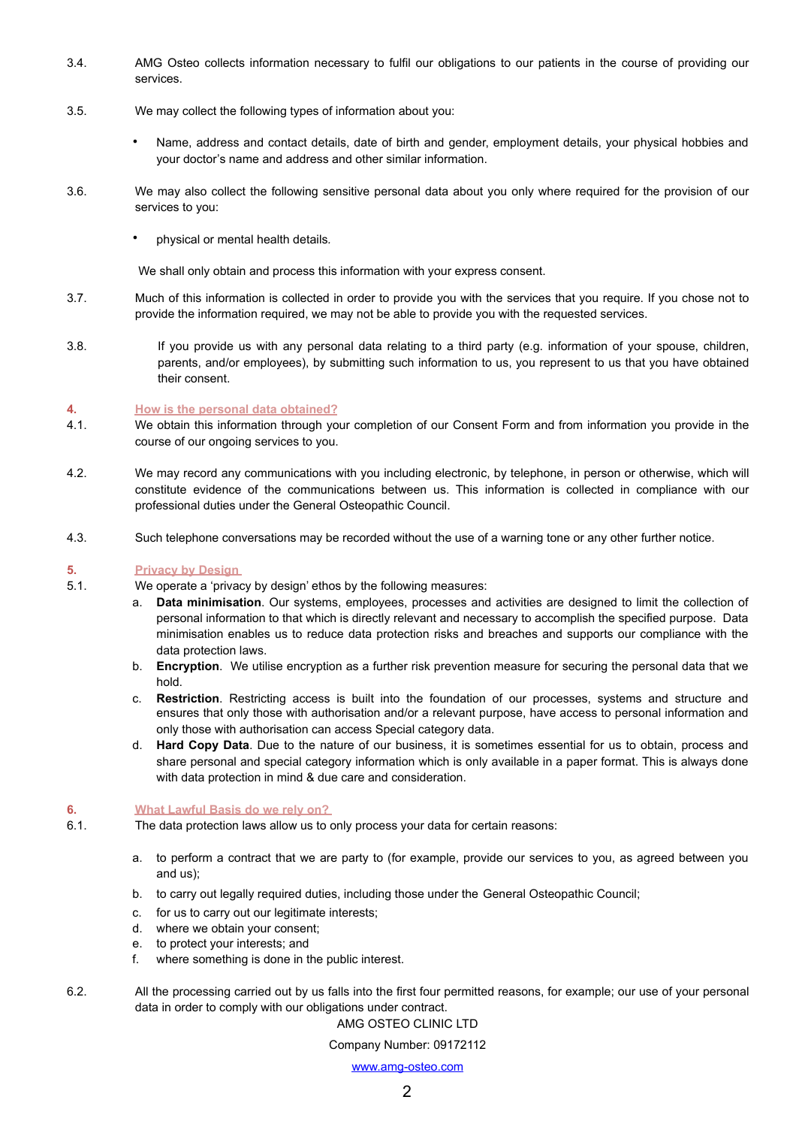- 3.4. AMG Osteo collects information necessary to fulfil our obligations to our patients in the course of providing our services.
- 3.5. We may collect the following types of information about you:
	- Name, address and contact details, date of birth and gender, employment details, your physical hobbies and your doctor's name and address and other similar information.
- 3.6. We may also collect the following sensitive personal data about you only where required for the provision of our services to you:
	- physical or mental health details*.*

We shall only obtain and process this information with your express consent.

- 3.7. Much of this information is collected in order to provide you with the services that you require. If you chose not to provide the information required, we may not be able to provide you with the requested services.
- 3.8. If you provide us with any personal data relating to a third party (e.g. information of your spouse, children, parents, and/or employees), by submitting such information to us, you represent to us that you have obtained their consent.

#### **4. How is the personal data obtained?**

- 4.1. We obtain this information through your completion of our Consent Form and from information you provide in the course of our ongoing services to you.
- 4.2. We may record any communications with you including electronic, by telephone, in person or otherwise, which will constitute evidence of the communications between us. This information is collected in compliance with our professional duties under the General Osteopathic Council.
- 4.3. Such telephone conversations may be recorded without the use of a warning tone or any other further notice.

#### **5. Privacy by Design**

5.1. We operate a 'privacy by design' ethos by the following measures:

- a. **Data minimisation**. Our systems, employees, processes and activities are designed to limit the collection of personal information to that which is directly relevant and necessary to accomplish the specified purpose. Data minimisation enables us to reduce data protection risks and breaches and supports our compliance with the data protection laws.
- b. **Encryption**. We utilise encryption as a further risk prevention measure for securing the personal data that we hold.
- c. **Restriction**. Restricting access is built into the foundation of our processes, systems and structure and ensures that only those with authorisation and/or a relevant purpose, have access to personal information and only those with authorisation can access Special category data.
- d. **Hard Copy Data**. Due to the nature of our business, it is sometimes essential for us to obtain, process and share personal and special category information which is only available in a paper format. This is always done with data protection in mind & due care and consideration.

#### **6. What Lawful Basis do we rely on?**

- 6.1. The data protection laws allow us to only process your data for certain reasons:
	- a. to perform a contract that we are party to (for example, provide our services to you, as agreed between you and us);
	- b. to carry out legally required duties, including those under the General Osteopathic Council;
	- c. for us to carry out our legitimate interests;
	- d. where we obtain your consent;
	- e. to protect your interests; and
	- f. where something is done in the public interest.
- 6.2. All the processing carried out by us falls into the first four permitted reasons, for example; our use of your personal data in order to comply with our obligations under contract.

## AMG OSTEO CLINIC LTD

Company Number: 09172112

#### [www.amg-osteo.com](http://www.amg-osteo.com)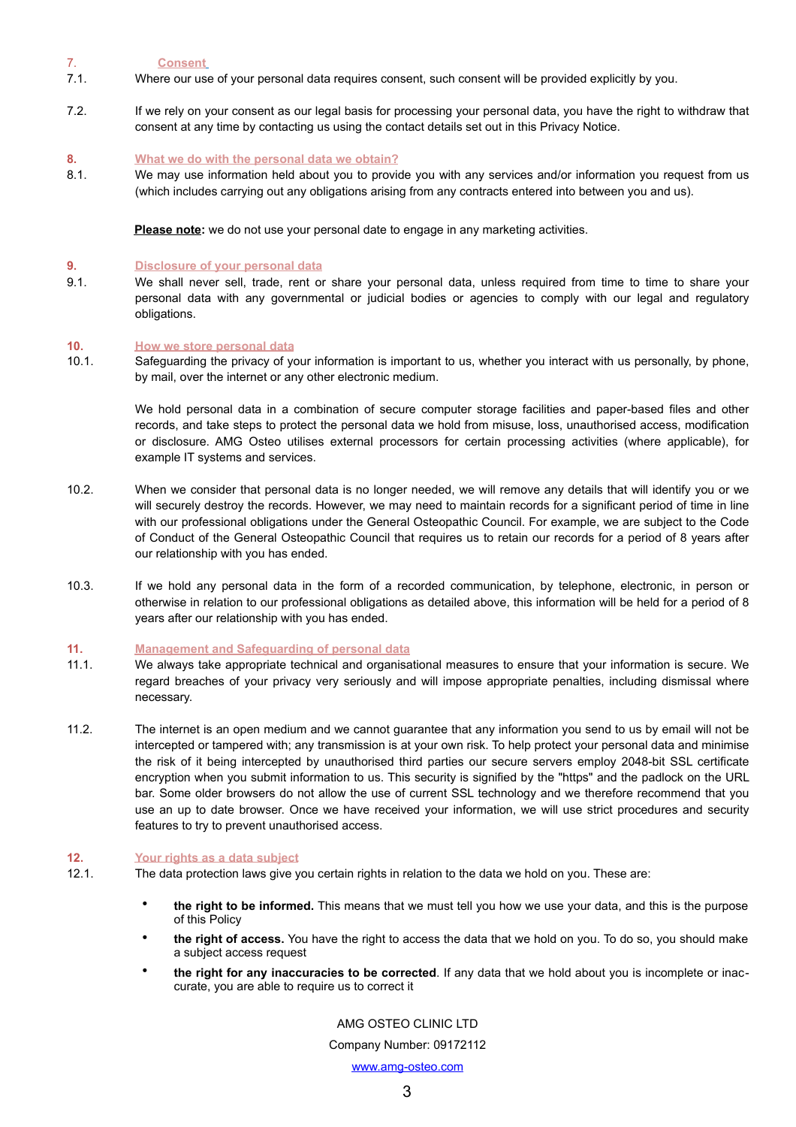7. **Consent**

- 7.1. Where our use of your personal data requires consent, such consent will be provided explicitly by you.
- 7.2. If we rely on your consent as our legal basis for processing your personal data, you have the right to withdraw that consent at any time by contacting us using the contact details set out in this Privacy Notice.

#### **8. What we do with the personal data we obtain?**

8.1. We may use information held about you to provide you with any services and/or information you request from us (which includes carrying out any obligations arising from any contracts entered into between you and us).

**Please note:** we do not use your personal date to engage in any marketing activities.

#### **9. Disclosure of your personal data**

9.1. We shall never sell, trade, rent or share your personal data, unless required from time to time to share your personal data with any governmental or judicial bodies or agencies to comply with our legal and regulatory obligations.

#### **10. How we store personal data**

10.1. Safeguarding the privacy of your information is important to us, whether you interact with us personally, by phone, by mail, over the internet or any other electronic medium.

We hold personal data in a combination of secure computer storage facilities and paper-based files and other records, and take steps to protect the personal data we hold from misuse, loss, unauthorised access, modification or disclosure. AMG Osteo utilises external processors for certain processing activities (where applicable), for example IT systems and services.

- 10.2. When we consider that personal data is no longer needed, we will remove any details that will identify you or we will securely destroy the records. However, we may need to maintain records for a significant period of time in line with our professional obligations under the General Osteopathic Council. For example, we are subject to the Code of Conduct of the General Osteopathic Council that requires us to retain our records for a period of 8 years after our relationship with you has ended.
- 10.3. If we hold any personal data in the form of a recorded communication, by telephone, electronic, in person or otherwise in relation to our professional obligations as detailed above, this information will be held for a period of 8 years after our relationship with you has ended.

#### **11. Management and Safeguarding of personal data**

- 11.1. We always take appropriate technical and organisational measures to ensure that your information is secure. We regard breaches of your privacy very seriously and will impose appropriate penalties, including dismissal where necessary.
- 11.2. The internet is an open medium and we cannot guarantee that any information you send to us by email will not be intercepted or tampered with; any transmission is at your own risk. To help protect your personal data and minimise the risk of it being intercepted by unauthorised third parties our secure servers employ 2048-bit SSL certificate encryption when you submit information to us. This security is signified by the "https" and the padlock on the URL bar. Some older browsers do not allow the use of current SSL technology and we therefore recommend that you use an up to date browser. Once we have received your information, we will use strict procedures and security features to try to prevent unauthorised access.

## **12. Your rights as a data subject**

- 12.1. The data protection laws give you certain rights in relation to the data we hold on you. These are:
	- **the right to be informed.** This means that we must tell you how we use your data, and this is the purpose of this Policy
	- **the right of access.** You have the right to access the data that we hold on you. To do so, you should make a subject access request
	- **the right for any inaccuracies to be corrected**. If any data that we hold about you is incomplete or inaccurate, you are able to require us to correct it

## AMG OSTEO CLINIC LTD

Company Number: 09172112

[www.amg-osteo.com](http://www.amg-osteo.com)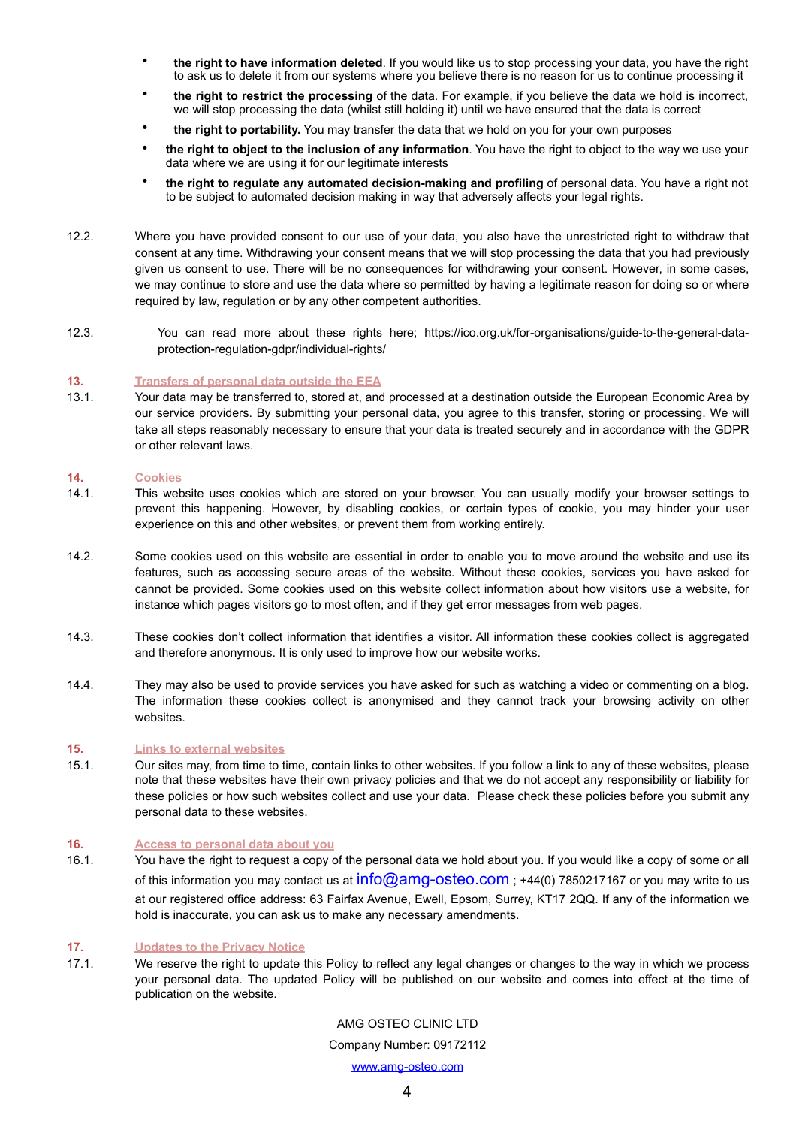- **the right to have information deleted**. If you would like us to stop processing your data, you have the right to ask us to delete it from our systems where you believe there is no reason for us to continue processing it
- **the right to restrict the processing** of the data. For example, if you believe the data we hold is incorrect, we will stop processing the data (whilst still holding it) until we have ensured that the data is correct
- **the right to portability.** You may transfer the data that we hold on you for your own purposes
- **the right to object to the inclusion of any information**. You have the right to object to the way we use your data where we are using it for our legitimate interests
- **the right to regulate any automated decision-making and profiling** of personal data. You have a right not to be subject to automated decision making in way that adversely affects your legal rights.
- 12.2. Where you have provided consent to our use of your data, you also have the unrestricted right to withdraw that consent at any time. Withdrawing your consent means that we will stop processing the data that you had previously given us consent to use. There will be no consequences for withdrawing your consent. However, in some cases, we may continue to store and use the data where so permitted by having a legitimate reason for doing so or where required by law, regulation or by any other competent authorities.
- 12.3. You can read more about these rights here; [https://ico.org.uk/for-organisations/guide-to-the-general-data](https://ico.org.uk/for-organisations/guide-to-the-general-data-protection-regulation-gdpr/individual-rights/)[protection-regulation-gdpr/individual-rights/](https://ico.org.uk/for-organisations/guide-to-the-general-data-protection-regulation-gdpr/individual-rights/)

#### **13. Transfers of personal data outside the EEA**

13.1. Your data may be transferred to, stored at, and processed at a destination outside the European Economic Area by our service providers. By submitting your personal data, you agree to this transfer, storing or processing. We will take all steps reasonably necessary to ensure that your data is treated securely and in accordance with the GDPR or other relevant laws.

#### **14. Cookies**

- 14.1. This website uses cookies which are stored on your browser. You can usually modify your browser settings to prevent this happening. However, by disabling cookies, or certain types of cookie, you may hinder your user experience on this and other websites, or prevent them from working entirely.
- 14.2. Some cookies used on this website are essential in order to enable you to move around the website and use its features, such as accessing secure areas of the website. Without these cookies, services you have asked for cannot be provided. Some cookies used on this website collect information about how visitors use a website, for instance which pages visitors go to most often, and if they get error messages from web pages.
- 14.3. These cookies don't collect information that identifies a visitor. All information these cookies collect is aggregated and therefore anonymous. It is only used to improve how our website works.
- 14.4. They may also be used to provide services you have asked for such as watching a video or commenting on a blog. The information these cookies collect is anonymised and they cannot track your browsing activity on other websites.

#### **15. Links to external websites**

15.1. Our sites may, from time to time, contain links to other websites. If you follow a link to any of these websites, please note that these websites have their own privacy policies and that we do not accept any responsibility or liability for these policies or how such websites collect and use your data. Please check these policies before you submit any personal data to these websites.

#### **16. Access to personal data about you**

16.1. You have the right to request a copy of the personal data we hold about you. If you would like a copy of some or all of this information you may contact us at  $info@amg-osteo.com$ ; +44(0) 7850217167 or you may write to us at our registered office address: 63 Fairfax Avenue, Ewell, Epsom, Surrey, KT17 2QQ. If any of the information we hold is inaccurate, you can ask us to make any necessary amendments.

#### **17. Updates to the Privacy Notice**

17.1. We reserve the right to update this Policy to reflect any legal changes or changes to the way in which we process your personal data. The updated Policy will be published on our website and comes into effect at the time of publication on the website.

> AMG OSTEO CLINIC LTD Company Number: 09172112

> > [www.amg-osteo.com](http://www.amg-osteo.com)